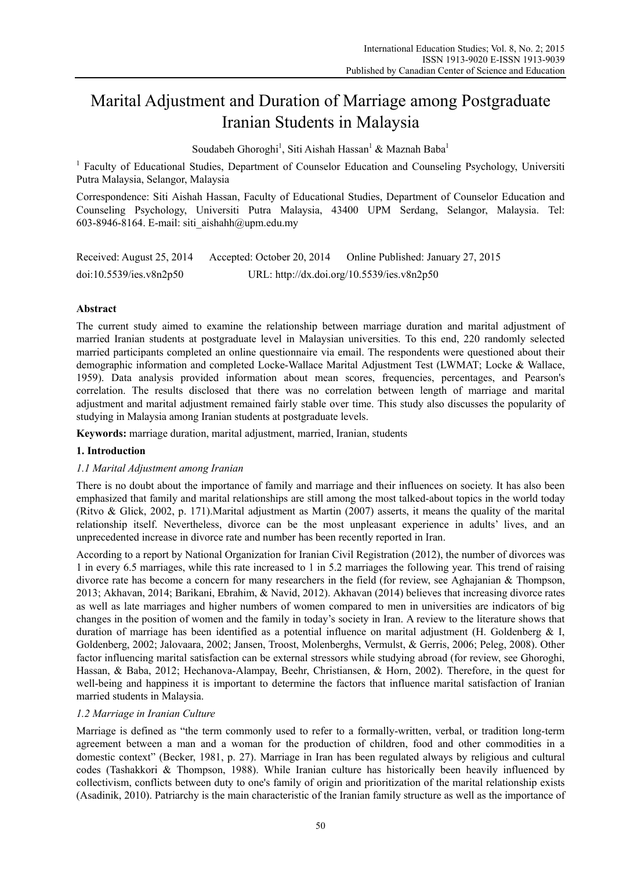# Marital Adjustment and Duration of Marriage among Postgraduate Iranian Students in Malaysia

Soudabeh Ghoroghi<sup>1</sup>, Siti Aishah Hassan<sup>1</sup> & Maznah Baba<sup>1</sup>

<sup>1</sup> Faculty of Educational Studies, Department of Counselor Education and Counseling Psychology, Universiti Putra Malaysia, Selangor, Malaysia

Correspondence: Siti Aishah Hassan, Faculty of Educational Studies, Department of Counselor Education and Counseling Psychology, Universiti Putra Malaysia, 43400 UPM Serdang, Selangor, Malaysia. Tel: 603-8946-8164. E-mail: siti\_aishahh@upm.edu.my

| Received: August 25, 2014 | Accepted: October 20, 2014 | Online Published: January 27, 2015         |
|---------------------------|----------------------------|--------------------------------------------|
| doi:10.5539/ies.v8n2p50   |                            | URL: http://dx.doi.org/10.5539/ies.v8n2p50 |

# **Abstract**

The current study aimed to examine the relationship between marriage duration and marital adjustment of married Iranian students at postgraduate level in Malaysian universities. To this end, 220 randomly selected married participants completed an online questionnaire via email. The respondents were questioned about their demographic information and completed Locke-Wallace Marital Adjustment Test (LWMAT; Locke & Wallace, 1959). Data analysis provided information about mean scores, frequencies, percentages, and Pearson's correlation. The results disclosed that there was no correlation between length of marriage and marital adjustment and marital adjustment remained fairly stable over time. This study also discusses the popularity of studying in Malaysia among Iranian students at postgraduate levels.

**Keywords:** marriage duration, marital adjustment, married, Iranian, students

# **1. Introduction**

## *1.1 Marital Adjustment among Iranian*

There is no doubt about the importance of family and marriage and their influences on society. It has also been emphasized that family and marital relationships are still among the most talked-about topics in the world today (Ritvo & Glick, 2002, p. 171).Marital adjustment as Martin (2007) asserts, it means the quality of the marital relationship itself. Nevertheless, divorce can be the most unpleasant experience in adults' lives, and an unprecedented increase in divorce rate and number has been recently reported in Iran.

According to a report by National Organization for Iranian Civil Registration (2012), the number of divorces was 1 in every 6.5 marriages, while this rate increased to 1 in 5.2 marriages the following year. This trend of raising divorce rate has become a concern for many researchers in the field (for review, see Aghajanian & Thompson, 2013; Akhavan, 2014; Barikani, Ebrahim, & Navid, 2012). Akhavan (2014) believes that increasing divorce rates as well as late marriages and higher numbers of women compared to men in universities are indicators of big changes in the position of women and the family in today's society in Iran. A review to the literature shows that duration of marriage has been identified as a potential influence on marital adjustment (H. Goldenberg & I, Goldenberg, 2002; Jalovaara, 2002; Jansen, Troost, Molenberghs, Vermulst, & Gerris, 2006; Peleg, 2008). Other factor influencing marital satisfaction can be external stressors while studying abroad (for review, see Ghoroghi, Hassan, & Baba, 2012; Hechanova-Alampay, Beehr, Christiansen, & Horn, 2002). Therefore, in the quest for well-being and happiness it is important to determine the factors that influence marital satisfaction of Iranian married students in Malaysia.

## *1.2 Marriage in Iranian Culture*

Marriage is defined as "the term commonly used to refer to a formally-written, verbal, or tradition long-term agreement between a man and a woman for the production of children, food and other commodities in a domestic context" (Becker, 1981, p. 27). Marriage in Iran has been regulated always by religious and cultural codes (Tashakkori & Thompson, 1988). While Iranian culture has historically been heavily influenced by collectivism, conflicts between duty to one's family of origin and prioritization of the marital relationship exists (Asadinik, 2010). Patriarchy is the main characteristic of the Iranian family structure as well as the importance of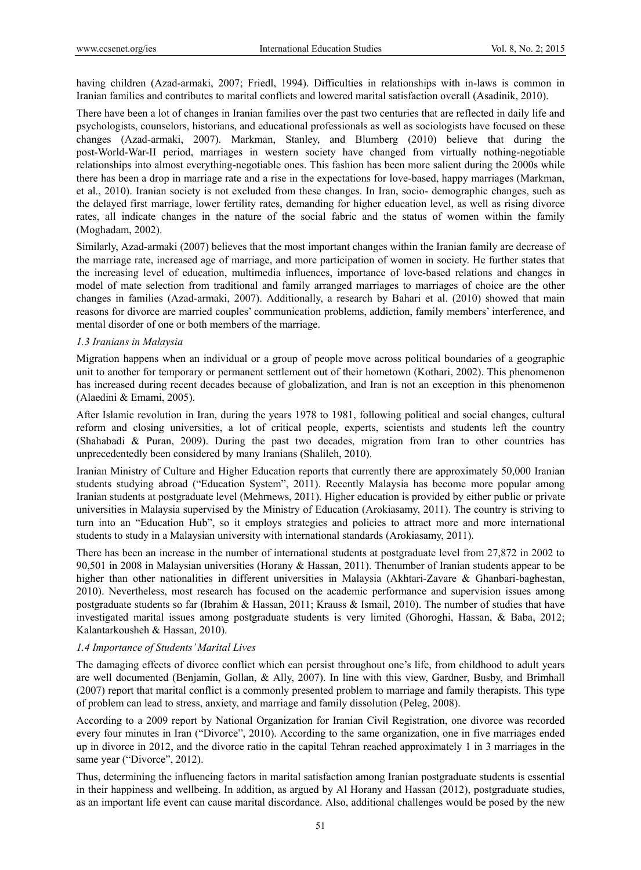having children (Azad-armaki, 2007; Friedl, 1994). Difficulties in relationships with in-laws is common in Iranian families and contributes to marital conflicts and lowered marital satisfaction overall (Asadinik, 2010).

There have been a lot of changes in Iranian families over the past two centuries that are reflected in daily life and psychologists, counselors, historians, and educational professionals as well as sociologists have focused on these changes (Azad-armaki, 2007). Markman, Stanley, and Blumberg (2010) believe that during the post-World-War-II period, marriages in western society have changed from virtually nothing-negotiable relationships into almost everything-negotiable ones. This fashion has been more salient during the 2000s while there has been a drop in marriage rate and a rise in the expectations for love-based, happy marriages (Markman, et al., 2010). Iranian society is not excluded from these changes. In Iran, socio- demographic changes, such as the delayed first marriage, lower fertility rates, demanding for higher education level, as well as rising divorce rates, all indicate changes in the nature of the social fabric and the status of women within the family (Moghadam, 2002).

Similarly, Azad-armaki (2007) believes that the most important changes within the Iranian family are decrease of the marriage rate, increased age of marriage, and more participation of women in society. He further states that the increasing level of education, multimedia influences, importance of love-based relations and changes in model of mate selection from traditional and family arranged marriages to marriages of choice are the other changes in families (Azad-armaki, 2007). Additionally, a research by Bahari et al. (2010) showed that main reasons for divorce are married couples' communication problems, addiction, family members' interference, and mental disorder of one or both members of the marriage.

## *1.3 Iranians in Malaysia*

Migration happens when an individual or a group of people move across political boundaries of a geographic unit to another for temporary or permanent settlement out of their hometown (Kothari, 2002). This phenomenon has increased during recent decades because of globalization, and Iran is not an exception in this phenomenon (Alaedini & Emami, 2005).

After Islamic revolution in Iran, during the years 1978 to 1981, following political and social changes, cultural reform and closing universities, a lot of critical people, experts, scientists and students left the country (Shahabadi & Puran, 2009). During the past two decades, migration from Iran to other countries has unprecedentedly been considered by many Iranians (Shalileh, 2010).

Iranian Ministry of Culture and Higher Education reports that currently there are approximately 50,000 Iranian students studying abroad ("Education System", 2011). Recently Malaysia has become more popular among Iranian students at postgraduate level (Mehrnews, 2011). Higher education is provided by either public or private universities in Malaysia supervised by the Ministry of Education (Arokiasamy, 2011). The country is striving to turn into an "Education Hub", so it employs strategies and policies to attract more and more international students to study in a Malaysian university with international standards (Arokiasamy, 2011).

There has been an increase in the number of international students at postgraduate level from 27,872 in 2002 to 90,501 in 2008 in Malaysian universities (Horany & Hassan, 2011). Thenumber of Iranian students appear to be higher than other nationalities in different universities in Malaysia (Akhtari-Zavare & Ghanbari-baghestan, 2010). Nevertheless, most research has focused on the academic performance and supervision issues among postgraduate students so far (Ibrahim & Hassan, 2011; Krauss & Ismail, 2010). The number of studies that have investigated marital issues among postgraduate students is very limited (Ghoroghi, Hassan, & Baba, 2012; Kalantarkousheh & Hassan, 2010).

## *1.4 Importance of Students' Marital Lives*

The damaging effects of divorce conflict which can persist throughout one's life, from childhood to adult years are well documented (Benjamin, Gollan, & Ally, 2007). In line with this view, Gardner, Busby, and Brimhall (2007) report that marital conflict is a commonly presented problem to marriage and family therapists. This type of problem can lead to stress, anxiety, and marriage and family dissolution (Peleg, 2008).

According to a 2009 report by National Organization for Iranian Civil Registration, one divorce was recorded every four minutes in Iran ("Divorce", 2010). According to the same organization, one in five marriages ended up in divorce in 2012, and the divorce ratio in the capital Tehran reached approximately 1 in 3 marriages in the same year ("Divorce", 2012).

Thus, determining the influencing factors in marital satisfaction among Iranian postgraduate students is essential in their happiness and wellbeing. In addition, as argued by Al Horany and Hassan (2012), postgraduate studies, as an important life event can cause marital discordance. Also, additional challenges would be posed by the new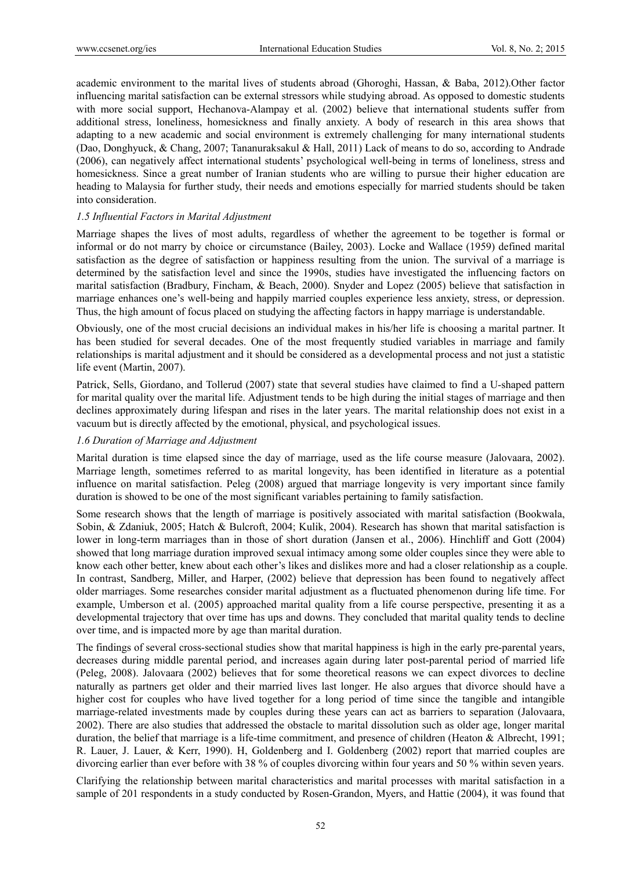academic environment to the marital lives of students abroad (Ghoroghi, Hassan, & Baba, 2012).Other factor influencing marital satisfaction can be external stressors while studying abroad. As opposed to domestic students with more social support, Hechanova-Alampay et al. (2002) believe that international students suffer from additional stress, loneliness, homesickness and finally anxiety. A body of research in this area shows that adapting to a new academic and social environment is extremely challenging for many international students (Dao, Donghyuck, & Chang, 2007; Tananuraksakul & Hall, 2011) Lack of means to do so, according to Andrade (2006), can negatively affect international students' psychological well-being in terms of loneliness, stress and homesickness. Since a great number of Iranian students who are willing to pursue their higher education are heading to Malaysia for further study, their needs and emotions especially for married students should be taken into consideration.

## *1.5 Influential Factors in Marital Adjustment*

Marriage shapes the lives of most adults, regardless of whether the agreement to be together is formal or informal or do not marry by choice or circumstance (Bailey, 2003). Locke and Wallace (1959) defined marital satisfaction as the degree of satisfaction or happiness resulting from the union. The survival of a marriage is determined by the satisfaction level and since the 1990s, studies have investigated the influencing factors on marital satisfaction (Bradbury, Fincham, & Beach, 2000). Snyder and Lopez (2005) believe that satisfaction in marriage enhances one's well-being and happily married couples experience less anxiety, stress, or depression. Thus, the high amount of focus placed on studying the affecting factors in happy marriage is understandable.

Obviously, one of the most crucial decisions an individual makes in his/her life is choosing a marital partner. It has been studied for several decades. One of the most frequently studied variables in marriage and family relationships is marital adjustment and it should be considered as a developmental process and not just a statistic life event (Martin, 2007).

Patrick, Sells, Giordano, and Tollerud (2007) state that several studies have claimed to find a U-shaped pattern for marital quality over the marital life. Adjustment tends to be high during the initial stages of marriage and then declines approximately during lifespan and rises in the later years. The marital relationship does not exist in a vacuum but is directly affected by the emotional, physical, and psychological issues.

## *1.6 Duration of Marriage and Adjustment*

Marital duration is time elapsed since the day of marriage, used as the life course measure (Jalovaara, 2002). Marriage length, sometimes referred to as marital longevity, has been identified in literature as a potential influence on marital satisfaction. Peleg (2008) argued that marriage longevity is very important since family duration is showed to be one of the most significant variables pertaining to family satisfaction.

Some research shows that the length of marriage is positively associated with marital satisfaction (Bookwala, Sobin, & Zdaniuk, 2005; Hatch & Bulcroft, 2004; Kulik, 2004). Research has shown that marital satisfaction is lower in long-term marriages than in those of short duration (Jansen et al., 2006). Hinchliff and Gott (2004) showed that long marriage duration improved sexual intimacy among some older couples since they were able to know each other better, knew about each other's likes and dislikes more and had a closer relationship as a couple. In contrast, Sandberg, Miller, and Harper, (2002) believe that depression has been found to negatively affect older marriages. Some researches consider marital adjustment as a fluctuated phenomenon during life time. For example, Umberson et al. (2005) approached marital quality from a life course perspective, presenting it as a developmental trajectory that over time has ups and downs. They concluded that marital quality tends to decline over time, and is impacted more by age than marital duration.

The findings of several cross-sectional studies show that marital happiness is high in the early pre-parental years, decreases during middle parental period, and increases again during later post-parental period of married life (Peleg, 2008). Jalovaara (2002) believes that for some theoretical reasons we can expect divorces to decline naturally as partners get older and their married lives last longer. He also argues that divorce should have a higher cost for couples who have lived together for a long period of time since the tangible and intangible marriage-related investments made by couples during these years can act as barriers to separation (Jalovaara, 2002). There are also studies that addressed the obstacle to marital dissolution such as older age, longer marital duration, the belief that marriage is a life-time commitment, and presence of children (Heaton & Albrecht, 1991; R. Lauer, J. Lauer, & Kerr, 1990). H, Goldenberg and I. Goldenberg (2002) report that married couples are divorcing earlier than ever before with 38 % of couples divorcing within four years and 50 % within seven years.

Clarifying the relationship between marital characteristics and marital processes with marital satisfaction in a sample of 201 respondents in a study conducted by Rosen-Grandon, Myers, and Hattie (2004), it was found that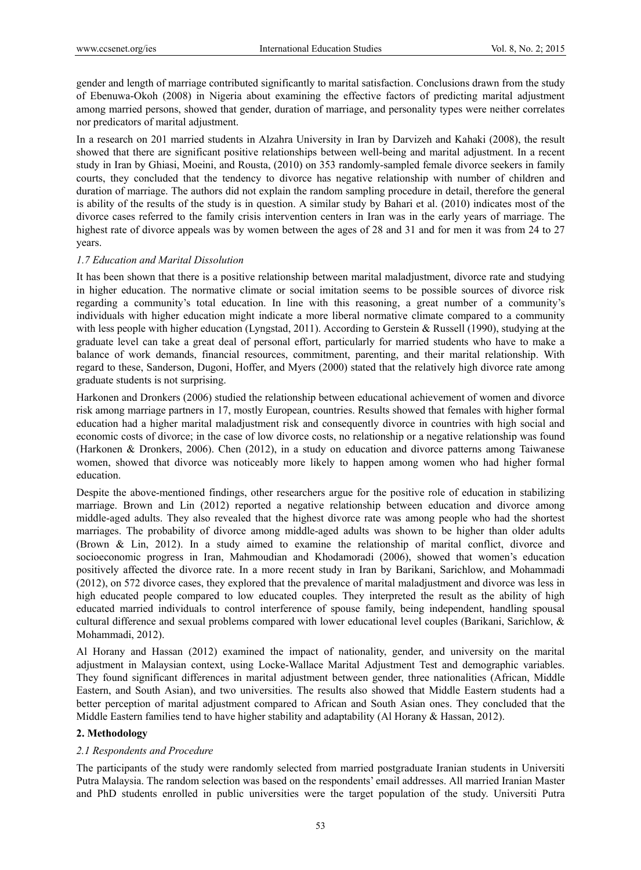gender and length of marriage contributed significantly to marital satisfaction. Conclusions drawn from the study of Ebenuwa-Okoh (2008) in Nigeria about examining the effective factors of predicting marital adjustment among married persons, showed that gender, duration of marriage, and personality types were neither correlates nor predicators of marital adjustment.

In a research on 201 married students in Alzahra University in Iran by Darvizeh and Kahaki (2008), the result showed that there are significant positive relationships between well-being and marital adjustment. In a recent study in Iran by Ghiasi, Moeini, and Rousta, (2010) on 353 randomly-sampled female divorce seekers in family courts, they concluded that the tendency to divorce has negative relationship with number of children and duration of marriage. The authors did not explain the random sampling procedure in detail, therefore the general is ability of the results of the study is in question. A similar study by Bahari et al. (2010) indicates most of the divorce cases referred to the family crisis intervention centers in Iran was in the early years of marriage. The highest rate of divorce appeals was by women between the ages of 28 and 31 and for men it was from 24 to 27 years.

#### *1.7 Education and Marital Dissolution*

It has been shown that there is a positive relationship between marital maladjustment, divorce rate and studying in higher education. The normative climate or social imitation seems to be possible sources of divorce risk regarding a community's total education. In line with this reasoning, a great number of a community's individuals with higher education might indicate a more liberal normative climate compared to a community with less people with higher education (Lyngstad, 2011). According to Gerstein & Russell (1990), studying at the graduate level can take a great deal of personal effort, particularly for married students who have to make a balance of work demands, financial resources, commitment, parenting, and their marital relationship. With regard to these, Sanderson, Dugoni, Hoffer, and Myers (2000) stated that the relatively high divorce rate among graduate students is not surprising.

Harkonen and Dronkers (2006) studied the relationship between educational achievement of women and divorce risk among marriage partners in 17, mostly European, countries. Results showed that females with higher formal education had a higher marital maladjustment risk and consequently divorce in countries with high social and economic costs of divorce; in the case of low divorce costs, no relationship or a negative relationship was found (Harkonen & Dronkers, 2006). Chen (2012), in a study on education and divorce patterns among Taiwanese women, showed that divorce was noticeably more likely to happen among women who had higher formal education.

Despite the above-mentioned findings, other researchers argue for the positive role of education in stabilizing marriage. Brown and Lin (2012) reported a negative relationship between education and divorce among middle-aged adults. They also revealed that the highest divorce rate was among people who had the shortest marriages. The probability of divorce among middle-aged adults was shown to be higher than older adults (Brown & Lin, 2012). In a study aimed to examine the relationship of marital conflict, divorce and socioeconomic progress in Iran, Mahmoudian and Khodamoradi (2006), showed that women's education positively affected the divorce rate. In a more recent study in Iran by Barikani, Sarichlow, and Mohammadi (2012), on 572 divorce cases, they explored that the prevalence of marital maladjustment and divorce was less in high educated people compared to low educated couples. They interpreted the result as the ability of high educated married individuals to control interference of spouse family, being independent, handling spousal cultural difference and sexual problems compared with lower educational level couples (Barikani, Sarichlow, & Mohammadi, 2012).

Al Horany and Hassan (2012) examined the impact of nationality, gender, and university on the marital adjustment in Malaysian context, using Locke-Wallace Marital Adjustment Test and demographic variables. They found significant differences in marital adjustment between gender, three nationalities (African, Middle Eastern, and South Asian), and two universities. The results also showed that Middle Eastern students had a better perception of marital adjustment compared to African and South Asian ones. They concluded that the Middle Eastern families tend to have higher stability and adaptability (Al Horany & Hassan, 2012).

#### **2. Methodology**

#### *2.1 Respondents and Procedure*

The participants of the study were randomly selected from married postgraduate Iranian students in Universiti Putra Malaysia. The random selection was based on the respondents' email addresses. All married Iranian Master and PhD students enrolled in public universities were the target population of the study. Universiti Putra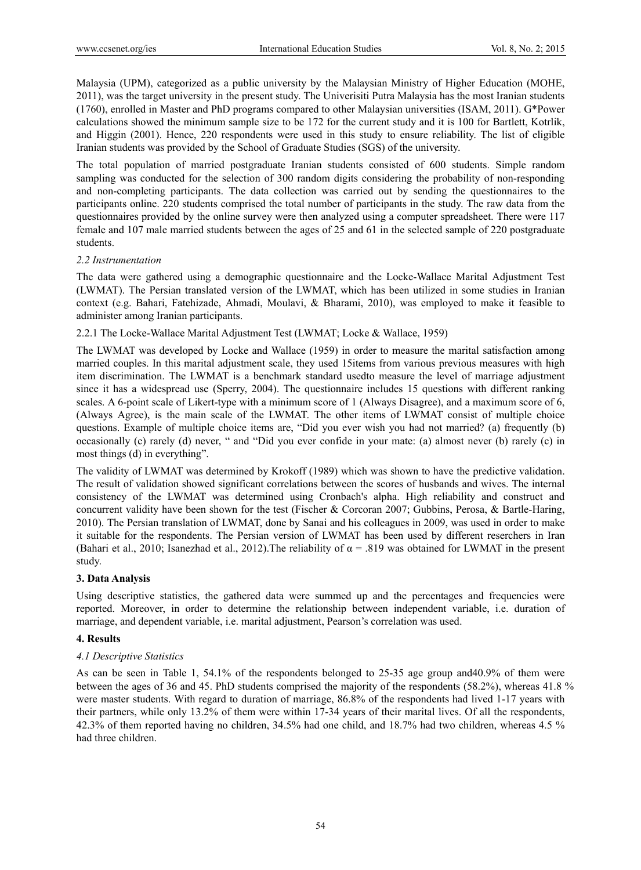Malaysia (UPM), categorized as a public university by the Malaysian Ministry of Higher Education (MOHE, 2011), was the target university in the present study. The Univerisiti Putra Malaysia has the most Iranian students (1760), enrolled in Master and PhD programs compared to other Malaysian universities (ISAM, 2011). G\*Power calculations showed the minimum sample size to be 172 for the current study and it is 100 for Bartlett, Kotrlik, and Higgin (2001). Hence, 220 respondents were used in this study to ensure reliability. The list of eligible Iranian students was provided by the School of Graduate Studies (SGS) of the university.

The total population of married postgraduate Iranian students consisted of 600 students. Simple random sampling was conducted for the selection of 300 random digits considering the probability of non-responding and non-completing participants. The data collection was carried out by sending the questionnaires to the participants online. 220 students comprised the total number of participants in the study. The raw data from the questionnaires provided by the online survey were then analyzed using a computer spreadsheet. There were 117 female and 107 male married students between the ages of 25 and 61 in the selected sample of 220 postgraduate students.

#### *2.2 Instrumentation*

The data were gathered using a demographic questionnaire and the Locke-Wallace Marital Adjustment Test (LWMAT). The Persian translated version of the LWMAT, which has been utilized in some studies in Iranian context (e.g. Bahari, Fatehizade, Ahmadi, Moulavi, & Bharami, 2010), was employed to make it feasible to administer among Iranian participants.

2.2.1 The Locke-Wallace Marital Adjustment Test (LWMAT; Locke & Wallace, 1959)

The LWMAT was developed by Locke and Wallace (1959) in order to measure the marital satisfaction among married couples. In this marital adjustment scale, they used 15items from various previous measures with high item discrimination. The LWMAT is a benchmark standard usedto measure the level of marriage adjustment since it has a widespread use (Sperry, 2004). The questionnaire includes 15 questions with different ranking scales. A 6-point scale of Likert-type with a minimum score of 1 (Always Disagree), and a maximum score of 6, (Always Agree), is the main scale of the LWMAT. The other items of LWMAT consist of multiple choice questions. Example of multiple choice items are, "Did you ever wish you had not married? (a) frequently (b) occasionally (c) rarely (d) never, " and "Did you ever confide in your mate: (a) almost never (b) rarely (c) in most things (d) in everything".

The validity of LWMAT was determined by Krokoff (1989) which was shown to have the predictive validation. The result of validation showed significant correlations between the scores of husbands and wives. The internal consistency of the LWMAT was determined using Cronbach's alpha. High reliability and construct and concurrent validity have been shown for the test (Fischer & Corcoran 2007; Gubbins, Perosa, & Bartle-Haring, 2010). The Persian translation of LWMAT, done by Sanai and his colleagues in 2009, was used in order to make it suitable for the respondents. The Persian version of LWMAT has been used by different reserchers in Iran (Bahari et al., 2010; Isanezhad et al., 2012). The reliability of  $\alpha$  = .819 was obtained for LWMAT in the present study.

## **3. Data Analysis**

Using descriptive statistics, the gathered data were summed up and the percentages and frequencies were reported. Moreover, in order to determine the relationship between independent variable, i.e. duration of marriage, and dependent variable, i.e. marital adjustment, Pearson's correlation was used.

## **4. Results**

## *4.1 Descriptive Statistics*

As can be seen in Table 1, 54.1% of the respondents belonged to 25-35 age group and40.9% of them were between the ages of 36 and 45. PhD students comprised the majority of the respondents (58.2%), whereas 41.8 % were master students. With regard to duration of marriage, 86.8% of the respondents had lived 1-17 years with their partners, while only 13.2% of them were within 17-34 years of their marital lives. Of all the respondents, 42.3% of them reported having no children, 34.5% had one child, and 18.7% had two children, whereas 4.5 % had three children.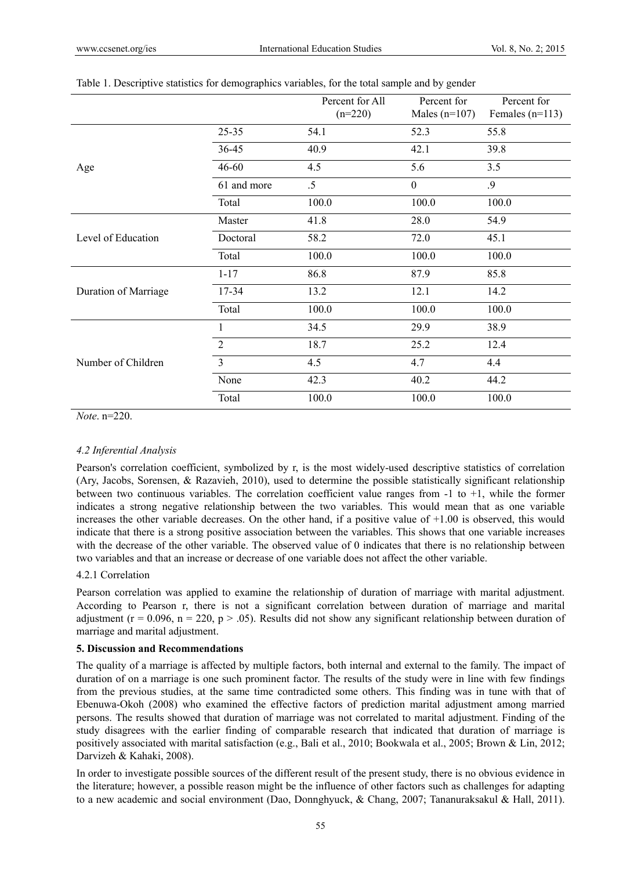|                      |                | Percent for All<br>$(n=220)$ | Percent for<br>Males $(n=107)$ | Percent for<br>Females $(n=113)$ |
|----------------------|----------------|------------------------------|--------------------------------|----------------------------------|
| Age                  | $25 - 35$      | 54.1                         | 52.3                           | 55.8                             |
|                      | 36-45          | 40.9                         | 42.1                           | 39.8                             |
|                      | $46 - 60$      | 4.5                          | 5.6                            | 3.5                              |
|                      | 61 and more    | $.5\,$                       | $\boldsymbol{0}$               | .9                               |
|                      | Total          | 100.0                        | 100.0                          | 100.0                            |
| Level of Education   | Master         | 41.8                         | 28.0                           | 54.9                             |
|                      | Doctoral       | 58.2                         | 72.0                           | 45.1                             |
|                      | Total          | 100.0                        | 100.0                          | 100.0                            |
| Duration of Marriage | $1 - 17$       | 86.8                         | 87.9                           | 85.8                             |
|                      | 17-34          | 13.2                         | 12.1                           | 14.2                             |
|                      | Total          | 100.0                        | 100.0                          | 100.0                            |
| Number of Children   | 1              | 34.5                         | 29.9                           | 38.9                             |
|                      | $\overline{2}$ | 18.7                         | 25.2                           | 12.4                             |
|                      | $\overline{3}$ | 4.5                          | 4.7                            | 4.4                              |
|                      | None           | 42.3                         | 40.2                           | 44.2                             |
|                      | Total          | 100.0                        | 100.0                          | 100.0                            |

#### Table 1. Descriptive statistics for demographics variables, for the total sample and by gender

*Note*. n=220.

## *4.2 Inferential Analysis*

Pearson's correlation coefficient, symbolized by r, is the most widely-used descriptive statistics of correlation (Ary, Jacobs, Sorensen, & Razavieh, 2010), used to determine the possible statistically significant relationship between two continuous variables. The correlation coefficient value ranges from  $-1$  to  $+1$ , while the former indicates a strong negative relationship between the two variables. This would mean that as one variable increases the other variable decreases. On the other hand, if a positive value of  $+1.00$  is observed, this would indicate that there is a strong positive association between the variables. This shows that one variable increases with the decrease of the other variable. The observed value of 0 indicates that there is no relationship between two variables and that an increase or decrease of one variable does not affect the other variable.

## 4.2.1 Correlation

Pearson correlation was applied to examine the relationship of duration of marriage with marital adjustment. According to Pearson r, there is not a significant correlation between duration of marriage and marital adjustment ( $r = 0.096$ ,  $n = 220$ ,  $p > .05$ ). Results did not show any significant relationship between duration of marriage and marital adjustment.

## **5. Discussion and Recommendations**

The quality of a marriage is affected by multiple factors, both internal and external to the family. The impact of duration of on a marriage is one such prominent factor. The results of the study were in line with few findings from the previous studies, at the same time contradicted some others. This finding was in tune with that of Ebenuwa-Okoh (2008) who examined the effective factors of prediction marital adjustment among married persons. The results showed that duration of marriage was not correlated to marital adjustment. Finding of the study disagrees with the earlier finding of comparable research that indicated that duration of marriage is positively associated with marital satisfaction (e.g., Bali et al., 2010; Bookwala et al., 2005; Brown & Lin, 2012; Darvizeh & Kahaki, 2008).

In order to investigate possible sources of the different result of the present study, there is no obvious evidence in the literature; however, a possible reason might be the influence of other factors such as challenges for adapting to a new academic and social environment (Dao, Donnghyuck, & Chang, 2007; Tananuraksakul & Hall, 2011).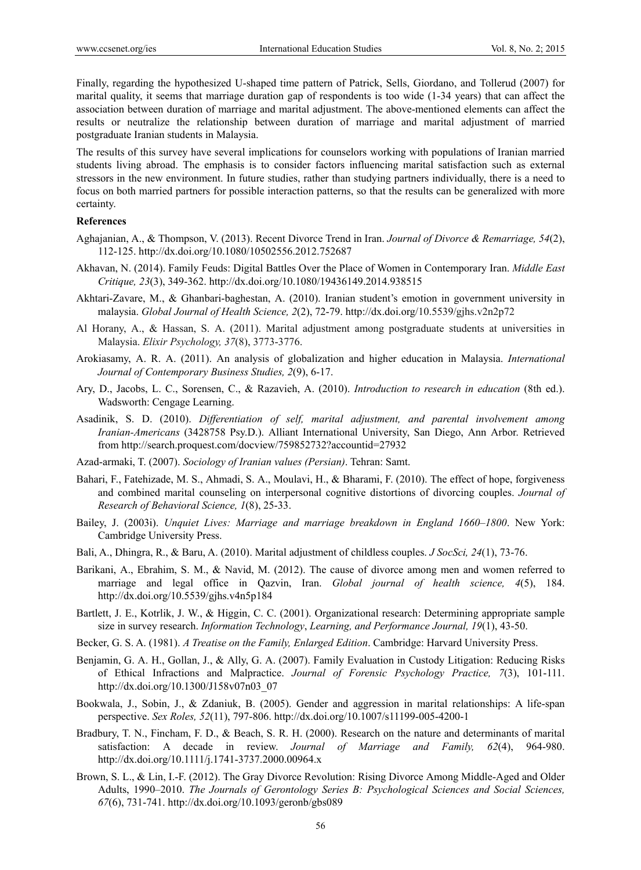Finally, regarding the hypothesized U-shaped time pattern of Patrick, Sells, Giordano, and Tollerud (2007) for marital quality, it seems that marriage duration gap of respondents is too wide (1-34 years) that can affect the association between duration of marriage and marital adjustment. The above-mentioned elements can affect the results or neutralize the relationship between duration of marriage and marital adjustment of married postgraduate Iranian students in Malaysia.

The results of this survey have several implications for counselors working with populations of Iranian married students living abroad. The emphasis is to consider factors influencing marital satisfaction such as external stressors in the new environment. In future studies, rather than studying partners individually, there is a need to focus on both married partners for possible interaction patterns, so that the results can be generalized with more certainty.

#### **References**

- Aghajanian, A., & Thompson, V. (2013). Recent Divorce Trend in Iran. *Journal of Divorce & Remarriage, 54*(2), 112-125. http://dx.doi.org/10.1080/10502556.2012.752687
- Akhavan, N. (2014). Family Feuds: Digital Battles Over the Place of Women in Contemporary Iran. *Middle East Critique, 23*(3), 349-362. http://dx.doi.org/10.1080/19436149.2014.938515
- Akhtari-Zavare, M., & Ghanbari-baghestan, A. (2010). Iranian student's emotion in government university in malaysia. *Global Journal of Health Science, 2*(2), 72-79. http://dx.doi.org/10.5539/gjhs.v2n2p72
- Al Horany, A., & Hassan, S. A. (2011). Marital adjustment among postgraduate students at universities in Malaysia. *Elixir Psychology, 37*(8), 3773-3776.
- Arokiasamy, A. R. A. (2011). An analysis of globalization and higher education in Malaysia. *International Journal of Contemporary Business Studies, 2*(9), 6-17.
- Ary, D., Jacobs, L. C., Sorensen, C., & Razavieh, A. (2010). *Introduction to research in education* (8th ed.). Wadsworth: Cengage Learning.
- Asadinik, S. D. (2010). *Differentiation of self, marital adjustment, and parental involvement among Iranian-Americans* (3428758 Psy.D.). Alliant International University, San Diego, Ann Arbor. Retrieved from http://search.proquest.com/docview/759852732?accountid=27932
- Azad-armaki, T. (2007). *Sociology of Iranian values (Persian)*. Tehran: Samt.
- Bahari, F., Fatehizade, M. S., Ahmadi, S. A., Moulavi, H., & Bharami, F. (2010). The effect of hope, forgiveness and combined marital counseling on interpersonal cognitive distortions of divorcing couples. *Journal of Research of Behavioral Science, 1*(8), 25-33.
- Bailey, J. (2003i). *Unquiet Lives: Marriage and marriage breakdown in England 1660–1800*. New York: Cambridge University Press.
- Bali, A., Dhingra, R., & Baru, A. (2010). Marital adjustment of childless couples. *J SocSci, 24*(1), 73-76.
- Barikani, A., Ebrahim, S. M., & Navid, M. (2012). The cause of divorce among men and women referred to marriage and legal office in Qazvin, Iran. *Global journal of health science, 4*(5), 184. http://dx.doi.org/10.5539/gjhs.v4n5p184
- Bartlett, J. E., Kotrlik, J. W., & Higgin, C. C. (2001). Organizational research: Determining appropriate sample size in survey research. *Information Technology*, *Learning, and Performance Journal, 19*(1), 43-50.
- Becker, G. S. A. (1981). *A Treatise on the Family, Enlarged Edition*. Cambridge: Harvard University Press.
- Benjamin, G. A. H., Gollan, J., & Ally, G. A. (2007). Family Evaluation in Custody Litigation: Reducing Risks of Ethical Infractions and Malpractice. *Journal of Forensic Psychology Practice, 7*(3), 101-111. http://dx.doi.org/10.1300/J158v07n03\_07
- Bookwala, J., Sobin, J., & Zdaniuk, B. (2005). Gender and aggression in marital relationships: A life-span perspective. *Sex Roles, 52*(11), 797-806. http://dx.doi.org/10.1007/s11199-005-4200-1
- Bradbury, T. N., Fincham, F. D., & Beach, S. R. H. (2000). Research on the nature and determinants of marital satisfaction: A decade in review. *Journal of Marriage and Family, 62*(4), 964-980. http://dx.doi.org/10.1111/j.1741-3737.2000.00964.x
- Brown, S. L., & Lin, I.-F. (2012). The Gray Divorce Revolution: Rising Divorce Among Middle-Aged and Older Adults, 1990–2010. *The Journals of Gerontology Series B: Psychological Sciences and Social Sciences, 67*(6), 731-741. http://dx.doi.org/10.1093/geronb/gbs089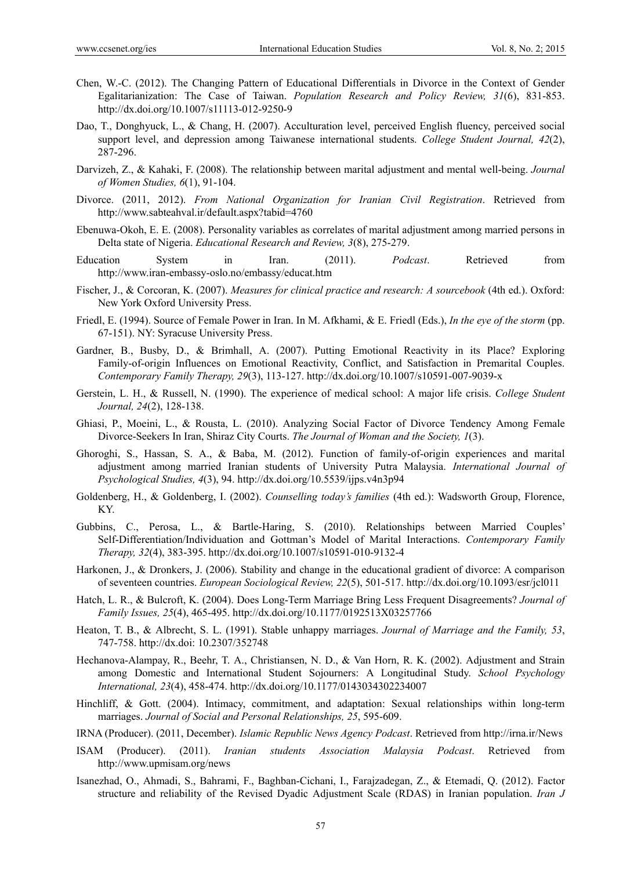- Chen, W.-C. (2012). The Changing Pattern of Educational Differentials in Divorce in the Context of Gender Egalitarianization: The Case of Taiwan. *Population Research and Policy Review, 31*(6), 831-853. http://dx.doi.org/10.1007/s11113-012-9250-9
- Dao, T., Donghyuck, L., & Chang, H. (2007). Acculturation level, perceived English fluency, perceived social support level, and depression among Taiwanese international students. *College Student Journal, 42*(2), 287-296.
- Darvizeh, Z., & Kahaki, F. (2008). The relationship between marital adjustment and mental well-being. *Journal of Women Studies, 6*(1), 91-104.
- Divorce. (2011, 2012). *From National Organization for Iranian Civil Registration*. Retrieved from http://www.sabteahval.ir/default.aspx?tabid=4760
- Ebenuwa-Okoh, E. E. (2008). Personality variables as correlates of marital adjustment among married persons in Delta state of Nigeria. *Educational Research and Review, 3*(8), 275-279.
- Education System in Iran. (2011). *Podcast*. Retrieved from http://www.iran-embassy-oslo.no/embassy/educat.htm
- Fischer, J., & Corcoran, K. (2007). *Measures for clinical practice and research: A sourcebook* (4th ed.). Oxford: New York Oxford University Press.
- Friedl, E. (1994). Source of Female Power in Iran. In M. Afkhami, & E. Friedl (Eds.), *In the eye of the storm* (pp. 67-151). NY: Syracuse University Press.
- Gardner, B., Busby, D., & Brimhall, A. (2007). Putting Emotional Reactivity in its Place? Exploring Family-of-origin Influences on Emotional Reactivity, Conflict, and Satisfaction in Premarital Couples. *Contemporary Family Therapy, 29*(3), 113-127. http://dx.doi.org/10.1007/s10591-007-9039-x
- Gerstein, L. H., & Russell, N. (1990). The experience of medical school: A major life crisis. *College Student Journal, 24*(2), 128-138.
- Ghiasi, P., Moeini, L., & Rousta, L. (2010). Analyzing Social Factor of Divorce Tendency Among Female Divorce-Seekers In Iran, Shiraz City Courts. *The Journal of Woman and the Society, 1*(3).
- Ghoroghi, S., Hassan, S. A., & Baba, M. (2012). Function of family-of-origin experiences and marital adjustment among married Iranian students of University Putra Malaysia. *International Journal of Psychological Studies, 4*(3), 94. http://dx.doi.org/10.5539/ijps.v4n3p94
- Goldenberg, H., & Goldenberg, I. (2002). *Counselling today's families* (4th ed.): Wadsworth Group, Florence, KY.
- Gubbins, C., Perosa, L., & Bartle-Haring, S. (2010). Relationships between Married Couples' Self-Differentiation/Individuation and Gottman's Model of Marital Interactions. *Contemporary Family Therapy, 32*(4), 383-395. http://dx.doi.org/10.1007/s10591-010-9132-4
- Harkonen, J., & Dronkers, J. (2006). Stability and change in the educational gradient of divorce: A comparison of seventeen countries. *European Sociological Review, 22*(5), 501-517. http://dx.doi.org/10.1093/esr/jcl011
- Hatch, L. R., & Bulcroft, K. (2004). Does Long-Term Marriage Bring Less Frequent Disagreements? *Journal of Family Issues, 25*(4), 465-495. http://dx.doi.org/10.1177/0192513X03257766
- Heaton, T. B., & Albrecht, S. L. (1991). Stable unhappy marriages. *Journal of Marriage and the Family, 53*, 747-758. http://dx.doi: 10.2307/352748
- Hechanova-Alampay, R., Beehr, T. A., Christiansen, N. D., & Van Horn, R. K. (2002). Adjustment and Strain among Domestic and International Student Sojourners: A Longitudinal Study. *School Psychology International, 23*(4), 458-474. http://dx.doi.org/10.1177/0143034302234007
- Hinchliff, & Gott. (2004). Intimacy, commitment, and adaptation: Sexual relationships within long-term marriages. *Journal of Social and Personal Relationships, 25*, 595-609.
- IRNA (Producer). (2011, December). *Islamic Republic News Agency Podcast*. Retrieved from http://irna.ir/News
- ISAM (Producer). (2011). *Iranian students Association Malaysia Podcast*. Retrieved from http://www.upmisam.org/news
- Isanezhad, O., Ahmadi, S., Bahrami, F., Baghban-Cichani, I., Farajzadegan, Z., & Etemadi, Q. (2012). Factor structure and reliability of the Revised Dyadic Adjustment Scale (RDAS) in Iranian population. *Iran J*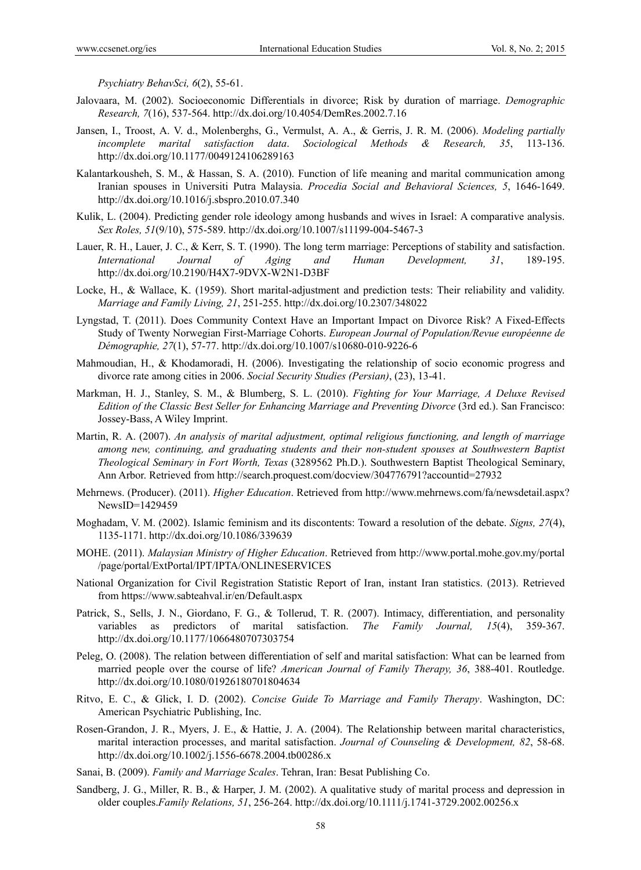*Psychiatry BehavSci, 6*(2), 55-61.

- Jalovaara, M. (2002). Socioeconomic Differentials in divorce; Risk by duration of marriage. *Demographic Research, 7*(16), 537-564. http://dx.doi.org/10.4054/DemRes.2002.7.16
- Jansen, I., Troost, A. V. d., Molenberghs, G., Vermulst, A. A., & Gerris, J. R. M. (2006). *Modeling partially incomplete marital satisfaction data*. *Sociological Methods & Research, 35*, 113-136. http://dx.doi.org/10.1177/0049124106289163
- Kalantarkousheh, S. M., & Hassan, S. A. (2010). Function of life meaning and marital communication among Iranian spouses in Universiti Putra Malaysia. *Procedia Social and Behavioral Sciences, 5*, 1646-1649. http://dx.doi.org/10.1016/j.sbspro.2010.07.340
- Kulik, L. (2004). Predicting gender role ideology among husbands and wives in Israel: A comparative analysis. *Sex Roles, 51*(9/10), 575-589. http://dx.doi.org/10.1007/s11199-004-5467-3
- Lauer, R. H., Lauer, J. C., & Kerr, S. T. (1990). The long term marriage: Perceptions of stability and satisfaction. *International Journal of Aging and Human Development, 31*, 189-195. http://dx.doi.org/10.2190/H4X7-9DVX-W2N1-D3BF
- Locke, H., & Wallace, K. (1959). Short marital-adjustment and prediction tests: Their reliability and validity. *Marriage and Family Living, 21*, 251-255. http://dx.doi.org/10.2307/348022
- Lyngstad, T. (2011). Does Community Context Have an Important Impact on Divorce Risk? A Fixed-Effects Study of Twenty Norwegian First-Marriage Cohorts. *European Journal of Population/Revue européenne de Démographie, 27*(1), 57-77. http://dx.doi.org/10.1007/s10680-010-9226-6
- Mahmoudian, H., & Khodamoradi, H. (2006). Investigating the relationship of socio economic progress and divorce rate among cities in 2006. *Social Security Studies (Persian)*, (23), 13-41.
- Markman, H. J., Stanley, S. M., & Blumberg, S. L. (2010). *Fighting for Your Marriage, A Deluxe Revised Edition of the Classic Best Seller for Enhancing Marriage and Preventing Divorce* (3rd ed.). San Francisco: Jossey-Bass, A Wiley Imprint.
- Martin, R. A. (2007). *An analysis of marital adjustment, optimal religious functioning, and length of marriage among new, continuing, and graduating students and their non-student spouses at Southwestern Baptist Theological Seminary in Fort Worth, Texas* (3289562 Ph.D.). Southwestern Baptist Theological Seminary, Ann Arbor. Retrieved from http://search.proquest.com/docview/304776791?accountid=27932
- Mehrnews. (Producer). (2011). *Higher Education*. Retrieved from http://www.mehrnews.com/fa/newsdetail.aspx? NewsID=1429459
- Moghadam, V. M. (2002). Islamic feminism and its discontents: Toward a resolution of the debate. *Signs, 27*(4), 1135-1171. http://dx.doi.org/10.1086/339639
- MOHE. (2011). *Malaysian Ministry of Higher Education*. Retrieved from http://www.portal.mohe.gov.my/portal /page/portal/ExtPortal/IPT/IPTA/ONLINESERVICES
- National Organization for Civil Registration Statistic Report of Iran, instant Iran statistics. (2013). Retrieved from https://www.sabteahval.ir/en/Default.aspx
- Patrick, S., Sells, J. N., Giordano, F. G., & Tollerud, T. R. (2007). Intimacy, differentiation, and personality variables as predictors of marital satisfaction. *The Family Journal, 15*(4), 359-367. http://dx.doi.org/10.1177/1066480707303754
- Peleg, O. (2008). The relation between differentiation of self and marital satisfaction: What can be learned from married people over the course of life? *American Journal of Family Therapy, 36*, 388-401. Routledge. http://dx.doi.org/10.1080/01926180701804634
- Ritvo, E. C., & Glick, I. D. (2002). *Concise Guide To Marriage and Family Therapy*. Washington, DC: American Psychiatric Publishing, Inc.
- Rosen-Grandon, J. R., Myers, J. E., & Hattie, J. A. (2004). The Relationship between marital characteristics, marital interaction processes, and marital satisfaction. *Journal of Counseling & Development, 82*, 58-68. http://dx.doi.org/10.1002/j.1556-6678.2004.tb00286.x
- Sanai, B. (2009). *Family and Marriage Scales*. Tehran, Iran: Besat Publishing Co.
- Sandberg, J. G., Miller, R. B., & Harper, J. M. (2002). A qualitative study of marital process and depression in older couples.*Family Relations, 51*, 256-264. http://dx.doi.org/10.1111/j.1741-3729.2002.00256.x